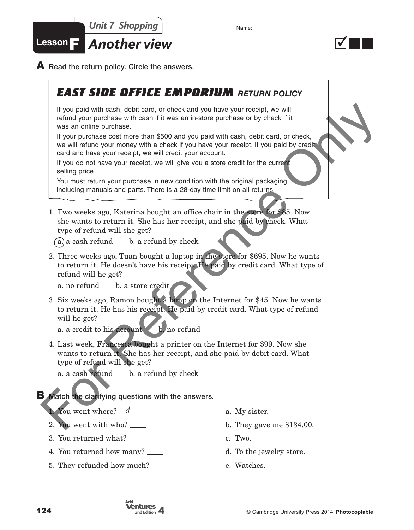

 $\overline{\blacklozenge}$ 

**Lesson**F *Another view*

**A** Read the return policy. Circle the answers.

# *EAST SIDE OFFICE EMPORIUM RETURN POLICY*

If you paid with cash, debit card, or check and you have your receipt, we will refund your purchase with cash if it was an in-store purchase or by check if it was an online purchase.

If your purchase cost more than \$500 and you paid with cash, debit card, or check, we will refund your money with a check if you have your receipt. If you paid by credit card and have your receipt, we will credit your account.

If you do not have your receipt, we will give you a store credit for the current selling price.

You must return your purchase in new condition with the original packaging, including manuals and parts. There is a 28-day time limit on all returns.

1. Two weeks ago, Katerina bought an office chair in the store for \$85. Now she wants to return it. She has her receipt, and she paid by check. What type of refund will she get?

 $(a)$  a cash refund b. a refund by check

2. Three weeks ago, Tuan bought a laptop in the store for \$695. Now he wants to return it. He doesn't have his receipt. He paid by credit card. What type of refund will he get?

a. no refund b. a store credit

- 3. Six weeks ago, Ramon bought a lamp on the Internet for \$45. Now he wants to return it. He has his receipt. He paid by credit card. What type of refund will he get? For good with cash, dobt can do the condition and you have your excelse.<br>
We are dividend with cash if it was an in-store purchase or by check if it<br>
was an online purchase one than 5500 and you paid with cash, dobt card,
	- a. a credit to his account  $\& b$ , no refund
	- 4. Last week, Francesca bought a printer on the Internet for \$99. Now she wants to return it. She has her receipt, and she paid by debit card. What type of refund will she get?

a. a cash refund b. a refund by check

### **B** Match the clarifying questions with the answers.

You went where? <u>d</u>

- 2. You went with who?
- 3. You returned what?
- 4. You returned how many?
- 5. They refunded how much?
- a. My sister.
- b. They gave me \$134.00.
- c. Two.
- d. To the jewelry store.
- e. Watches.

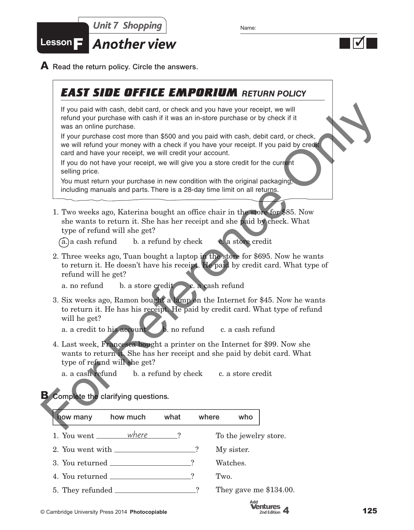



**A** Read the return policy. Circle the answers.

### *EAST SIDE OFFICE EMPORIUM RETURN POLICY*

If you paid with cash, debit card, or check and you have your receipt, we will refund your purchase with cash if it was an in-store purchase or by check if it was an online purchase.

If your purchase cost more than \$500 and you paid with cash, debit card, or check, we will refund your money with a check if you have your receipt. If you paid by credit card and have your receipt, we will credit your account.

If you do not have your receipt, we will give you a store credit for the current selling price.

You must return your purchase in new condition with the original packaging, including manuals and parts. There is a 28-day time limit on all returns.

1. Two weeks ago, Katerina bought an office chair in the store for \$85. Now she wants to return it. She has her receipt and she paid by check. What type of refund will she get?

 $(a)$ a cash refund b. a refund by check c. a store credit

2. Three weeks ago, Tuan bought a laptop in the store for \$695. Now he wants to return it. He doesn't have his receipt. He paid by credit card. What type of refund will he get? For particular with each debit early control and you report we will have an online purchase or the check and you receive the same in-store purchase on the check was an online purchase cost more than \$500 and you paid with

a. no refund b. a store credit c. a cash refund

3. Six weeks ago, Ramon bought a lamp on the Internet for \$45. Now he wants to return it. He has his receipt. He paid by credit card. What type of refund will he get?

a. a credit to his account b. no refund c. a cash refund

4. Last week, Francesca bought a printer on the Internet for \$99. Now she wants to return it. She has her receipt and she paid by debit card. What type of refund will she get?

a. a cash refund b. a refund by check c. a store credit

#### **B** Complete the clarifying questions.

| how many                               | how much | what | where | who                      |
|----------------------------------------|----------|------|-------|--------------------------|
| 1. You went ________ where             |          |      |       | To the jewelry store.    |
| 2. You went with ____________________? |          |      |       | My sister.               |
| 3. You returned                        |          |      |       | Watches.                 |
| 4. You returned                        |          |      |       | Two.                     |
|                                        |          |      |       | They gave me $$134.00$ . |
|                                        |          |      |       |                          |